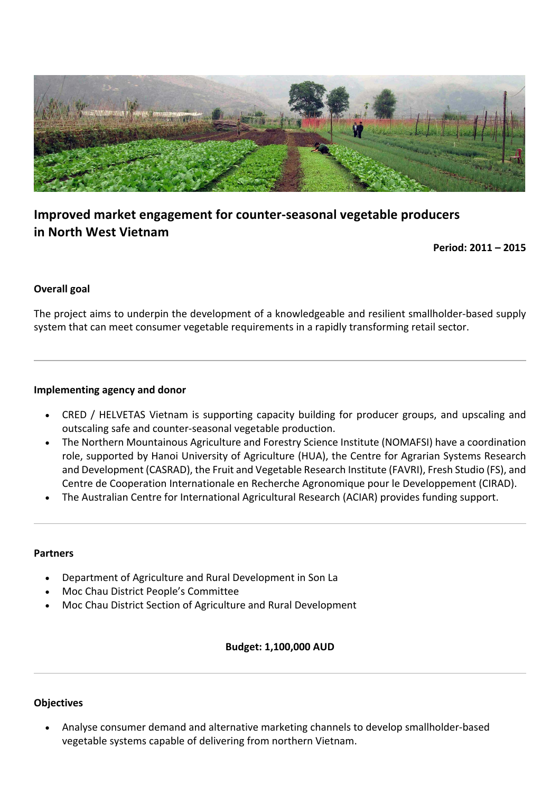

# **Improved market engagement for counter-seasonal vegetable producers in North West Vietnam**

**Period: 2011 – 2015**

# **Overall** goal

The project aims to underpin the development of a knowledgeable and resilient smallholder-based supply system that can meet consumer vegetable requirements in a rapidly transforming retail sector.

#### **Implementing agency and donor**

- CRED / HELVETAS Vietnam is supporting capacity building for producer groups, and upscaling and outscaling safe and counter-seasonal vegetable production.
- The Northern Mountainous Agriculture and Forestry Science Institute (NOMAFSI) have a coordination role, supported by Hanoi University of Agriculture (HUA), the Centre for Agrarian Systems Research and Development (CASRAD), the Fruit and Vegetable Research Institute (FAVRI), Fresh Studio (FS), and Centre de Cooperation Internationale en Recherche Agronomique pour le Developpement (CIRAD).
- The Australian Centre for International Agricultural Research (ACIAR) provides funding support.

#### **Partners**

- Department of Agriculture and Rural Development in Son La
- Moc Chau District People's Committee
- Moc Chau District Section of Agriculture and Rural Development

### **Budget: 1,100,000 AUD**

### **Objectives**

Analyse consumer demand and alternative marketing channels to develop smallholder-based vegetable systems capable of delivering from northern Vietnam.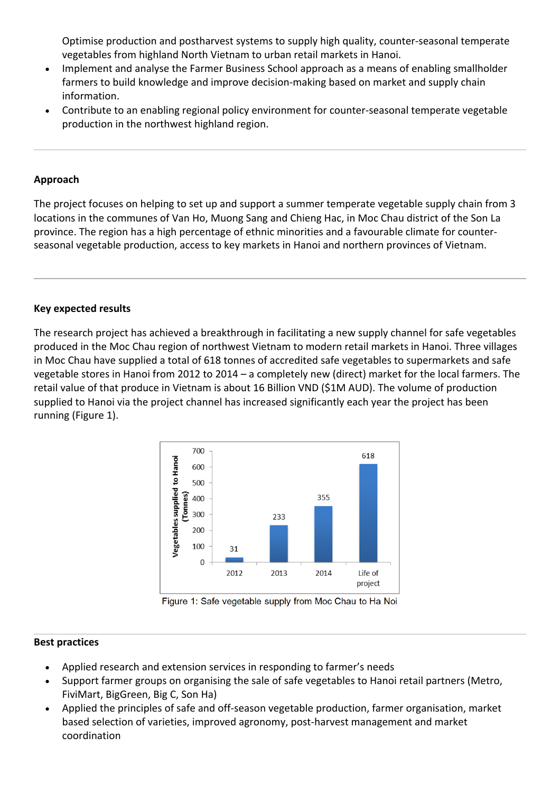Optimise production and postharvest systems to supply high quality, counter-seasonal temperate vegetables from highland North Vietnam to urban retail markets in Hanoi.

- Implement and analyse the Farmer Business School approach as a means of enabling smallholder farmers to build knowledge and improve decision-making based on market and supply chain information.
- Contribute to an enabling regional policy environment for counter-seasonal temperate vegetable production in the northwest highland region.

# **Approach**

The project focuses on helping to set up and support a summer temperate vegetable supply chain from 3 locations in the communes of Van Ho, Muong Sang and Chieng Hac, in Moc Chau district of the Son La province. The region has a high percentage of ethnic minorities and a favourable climate for counterseasonal vegetable production, access to key markets in Hanoi and northern provinces of Vietnam.

# **Key expected results**

The research project has achieved a breakthrough in facilitating a new supply channel for safe vegetables produced in the Moc Chau region of northwest Vietnam to modern retail markets in Hanoi. Three villages in Moc Chau have supplied a total of 618 tonnes of accredited safe vegetables to supermarkets and safe vegetable stores in Hanoi from 2012 to 2014 – a completely new (direct) market for the local farmers. The retail value of that produce in Vietnam is about 16 Billion VND (\$1M AUD). The volume of production supplied to Hanoi via the project channel has increased significantly each year the project has been running (Figure 1).



Figure 1: Safe vegetable supply from Moc Chau to Ha Noi

### **Best practices**

- Applied research and extension services in responding to farmer's needs
- Support farmer groups on organising the sale of safe vegetables to Hanoi retail partners (Metro, FiviMart, BigGreen, Big C, Son Ha)
- Applied the principles of safe and off-season vegetable production, farmer organisation, market based selection of varieties, improved agronomy, post-harvest management and market coordination